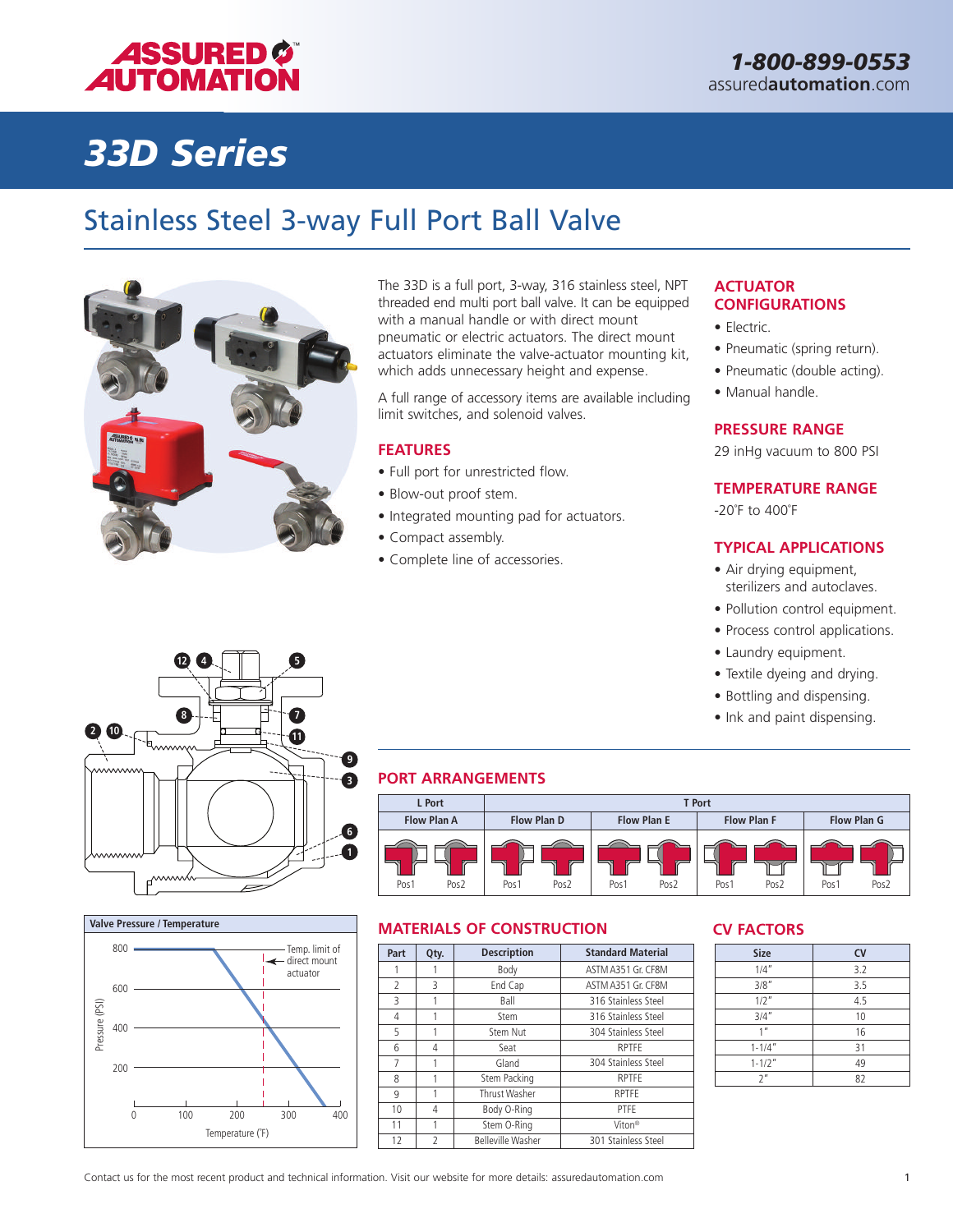

# *33D Series*

### Stainless Steel 3-way Full Port Ball Valve



The 33D is a full port, 3-way, 316 stainless steel, NPT threaded end multi port ball valve. It can be equipped with a manual handle or with direct mount pneumatic or electric actuators. The direct mount actuators eliminate the valve-actuator mounting kit, which adds unnecessary height and expense.

A full range of accessory items are available including limit switches, and solenoid valves.

#### **FEATURES**

- Full port for unrestricted flow.
- Blow-out proof stem.
- Integrated mounting pad for actuators.
- Compact assembly.
- Complete line of accessories.

#### **ACTUATOR CONFIGURATIONS**

- Electric.
- Pneumatic (spring return).
- Pneumatic (double acting).
- Manual handle.

#### **PRESSURE RANGE**

29 inHg vacuum to 800 PSI

### **TEMPERATURE RANGE**

-20˚F to 400˚F

### **TYPICAL APPLICATIONS**

- Air drying equipment, sterilizers and autoclaves.
- Pollution control equipment.
- Process control applications.
- Laundry equipment.
- Textile dyeing and drying.
- Bottling and dispensing.
- Ink and paint dispensing.





### **PORT ARRANGEMENTS**



### **MATERIALS OF CONSTRUCTION CV FACTORS**

| Part                     | Qty.          | <b>Description</b>       | <b>Standard Material</b> |
|--------------------------|---------------|--------------------------|--------------------------|
|                          |               | Body                     | ASTM A351 Gr. CF8M       |
| $\overline{\phantom{a}}$ | 3             | End Cap                  | ASTM A351 Gr. CF8M       |
| 3                        |               | Ball                     | 316 Stainless Steel      |
| 4                        |               | Stem                     | 316 Stainless Steel      |
| 5                        |               | Stem Nut                 | 304 Stainless Steel      |
| 6                        | 4             | Seat                     | <b>RPTFE</b>             |
| 7                        |               | Gland                    | 304 Stainless Steel      |
| 8                        |               | Stem Packing             | <b>RPTFE</b>             |
| 9                        |               | Thrust Washer            | <b>RPTFE</b>             |
| 10                       | 4             | Body O-Ring              | PTFF                     |
| 11                       |               | Stem O-Ring              | Viton <sup>®</sup>       |
| 12                       | $\mathcal{P}$ | <b>Belleville Washer</b> | 301 Stainless Steel      |

| <b>Size</b>     | <b>CV</b> |
|-----------------|-----------|
| 1/4''           | 3.2       |
| 3/8''           | 3.5       |
| $1/2$ "         | 4.5       |
| 3/4''           | 10        |
| 1 <sup>II</sup> | 16        |
| $1 - 1/4"$      | 31        |
| $1 - 1/2"$      | 49        |
| 2 <sup>n</sup>  | 82        |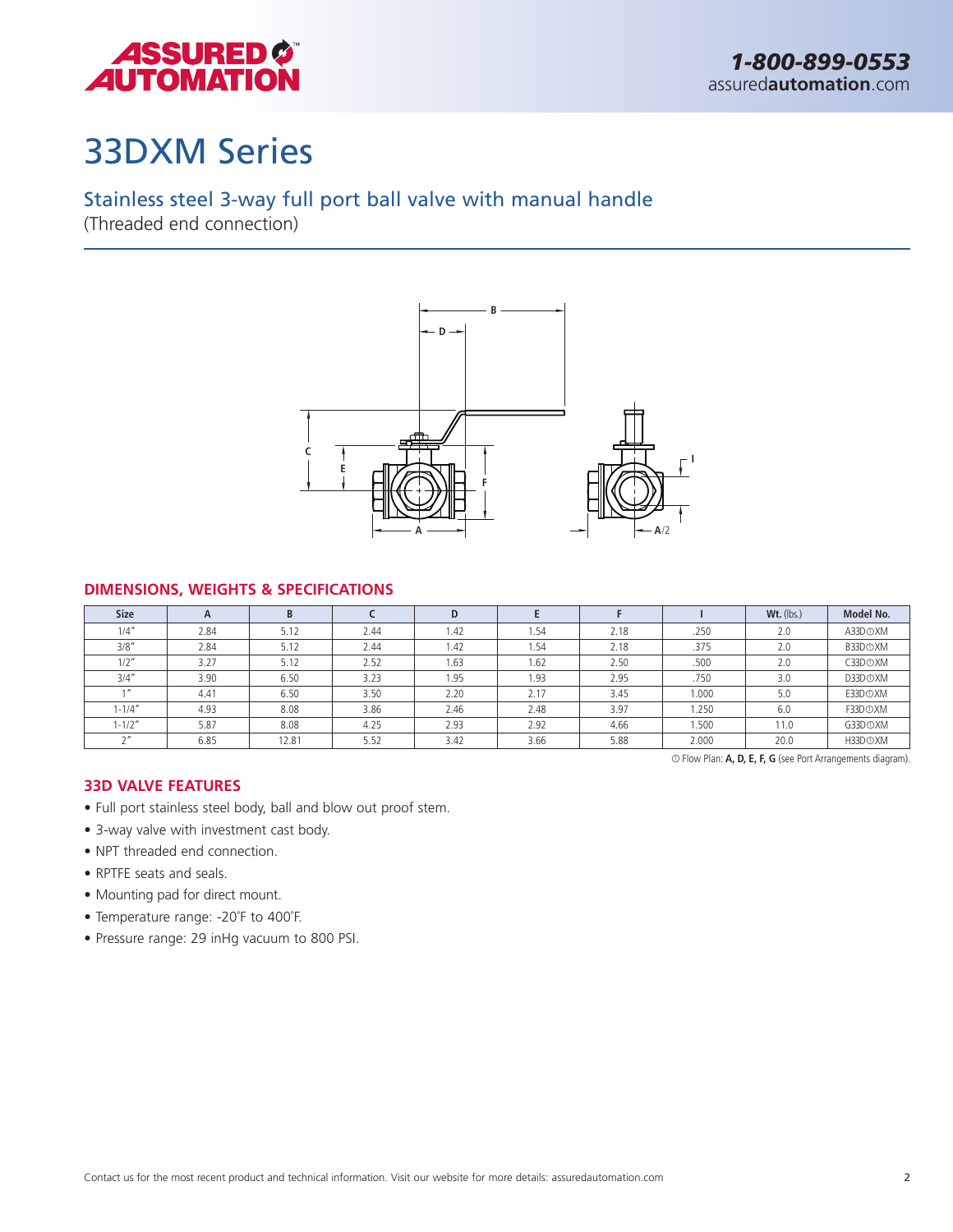

## 33DXM Series

### Stainless steel 3-way full port ball valve with manual handle

(Threaded end connection)



### **DIMENSIONS, WEIGHTS & SPECIFICATIONS**

| <b>Size</b> | $\mathsf{A}$ | B     |      | D    |      |      |       | $Wt.$ (lbs.) | Model No.            |
|-------------|--------------|-------|------|------|------|------|-------|--------------|----------------------|
| 1/4''       | 2.84         | 5.12  | 2.44 | 1.42 | 1.54 | 2.18 | .250  | 2.0          | A33D <sub>O</sub> XM |
| 3/8"        | 2.84         | 5.12  | 2.44 | 1.42 | 1.54 | 2.18 | .375  | 2.0          | B33D <sub>O</sub> XM |
| $1/2$ "     | 3.27         | 5.12  | 2.52 | 1.63 | 1.62 | 2.50 | .500  | 2.0          | C33D <sub>O</sub> XM |
| 3/4''       | 3.90         | 6.50  | 3.23 | 1.95 | 1.93 | 2.95 | .750  | 3.0          | D33D <sub>O</sub> XM |
|             | 4.41         | 6.50  | 3.50 | 2.20 | 2.17 | 3.45 | 1.000 | 5.0          | E33DOXM              |
| $1 - 1/4''$ | 4.93         | 8.08  | 3.86 | 2.46 | 2.48 | 3.97 | 1.250 | 6.0          | F33D <sub>O</sub> XM |
| $1 - 1/2"$  | 5.87         | 8.08  | 4.25 | 2.93 | 2.92 | 4.66 | 1.500 | 11.0         | G33D <sub>O</sub> XM |
| $\sim$      | 6.85         | 12.81 | 5.52 | 3.42 | 3.66 | 5.88 | 2.000 | 20.0         | H33D <sub>O</sub> XM |

<sup>1</sup> Flow Plan: **A, D, E, F, G** (see Port Arrangements diagram).

### **33D VALVE FEATURES**

- Full port stainless steel body, ball and blow out proof stem.
- 3-way valve with investment cast body.
- NPT threaded end connection.
- RPTFE seats and seals.
- Mounting pad for direct mount.
- Temperature range: -20˚F to 400˚F.
- Pressure range: 29 inHg vacuum to 800 PSI.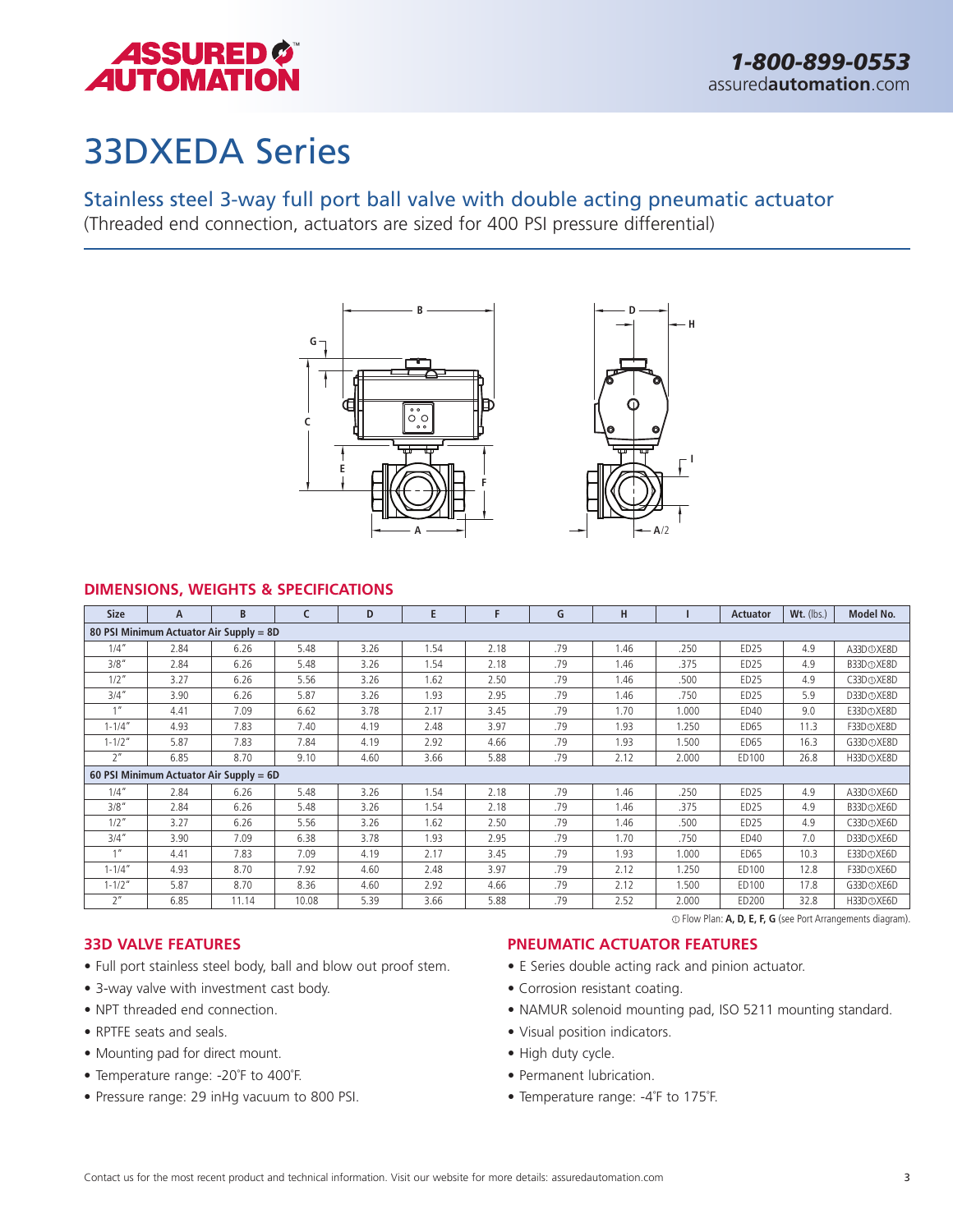

## 33DXEDA Series

Stainless steel 3-way full port ball valve with double acting pneumatic actuator

(Threaded end connection, actuators are sized for 400 PSI pressure differential)



### **DIMENSIONS, WEIGHTS & SPECIFICATIONS**

| <b>Size</b>     | A                                                                 | B.                                      | c     | D    | E    | F    | G   | н    |       | <b>Actuator</b>  | $Wt.$ (lbs.) | Model No.              |
|-----------------|-------------------------------------------------------------------|-----------------------------------------|-------|------|------|------|-----|------|-------|------------------|--------------|------------------------|
|                 |                                                                   | 80 PSI Minimum Actuator Air Supply = 8D |       |      |      |      |     |      |       |                  |              |                        |
| 1/4''           | 2.84                                                              | 6.26                                    | 5.48  | 3.26 | 1.54 | 2.18 | .79 | 1.46 | .250  | ED <sub>25</sub> | 4.9          | A33D <sub>O</sub> XE8D |
| 3/8''           | 2.84                                                              | 6.26                                    | 5.48  | 3.26 | 1.54 | 2.18 | .79 | 1.46 | .375  | ED <sub>25</sub> | 4.9          | B33D <sub>O</sub> XE8D |
| $1/2$ "         | 3.27                                                              | 6.26                                    | 5.56  | 3.26 | 1.62 | 2.50 | .79 | 1.46 | .500  | ED <sub>25</sub> | 4.9          | C33D <sub>O</sub> XE8D |
| $3/4$ "         | 3.90                                                              | 6.26                                    | 5.87  | 3.26 | 1.93 | 2.95 | .79 | 1.46 | .750  | ED <sub>25</sub> | 5.9          | D33D <sub>O</sub> XE8D |
| 1 <sup>II</sup> | 4.41                                                              | 7.09                                    | 6.62  | 3.78 | 2.17 | 3.45 | .79 | 1.70 | 1.000 | ED40             | 9.0          | E33D <sub>O</sub> XE8D |
| $1 - 1/4''$     | 4.93                                                              | 7.83                                    | 7.40  | 4.19 | 2.48 | 3.97 | .79 | 1.93 | 1.250 | ED65             | 11.3         | F33D <sub>O</sub> XE8D |
| $1 - 1/2"$      | 5.87                                                              | 7.83                                    | 7.84  | 4.19 | 2.92 | 4.66 | .79 | 1.93 | 1.500 | ED65             | 16.3         | G33D <sub>O</sub> XE8D |
| 2 <sup>n</sup>  | 6.85                                                              | 8.70                                    | 9.10  | 4.60 | 3.66 | 5.88 | .79 | 2.12 | 2.000 | ED100            | 26.8         | H33D <sub>O</sub> XE8D |
|                 |                                                                   | 60 PSI Minimum Actuator Air Supply = 6D |       |      |      |      |     |      |       |                  |              |                        |
| 1/4''           | 2.84                                                              | 6.26                                    | 5.48  | 3.26 | 1.54 | 2.18 | .79 | 1.46 | .250  | ED <sub>25</sub> | 4.9          | A33D <sub>O</sub> XE6D |
| 3/8''           | 2.84                                                              | 6.26                                    | 5.48  | 3.26 | 1.54 | 2.18 | .79 | 1.46 | .375  | ED <sub>25</sub> | 4.9          | B33D <sub>O</sub> XE6D |
| $1/2$ "         | 3.27                                                              | 6.26                                    | 5.56  | 3.26 | 1.62 | 2.50 | .79 | 1.46 | .500  | ED <sub>25</sub> | 4.9          | C33D <sub>O</sub> XE6D |
| $3/4$ "         | 3.90                                                              | 7.09                                    | 6.38  | 3.78 | 1.93 | 2.95 | .79 | 1.70 | .750  | ED40             | 7.0          | D33D <sub>O</sub> XE6D |
| 1 <sup>II</sup> | 4.41                                                              | 7.83                                    | 7.09  | 4.19 | 2.17 | 3.45 | .79 | 1.93 | 1.000 | ED65             | 10.3         | E33D <sub>O</sub> XE6D |
| $1 - 1/4''$     | 4.93                                                              | 8.70                                    | 7.92  | 4.60 | 2.48 | 3.97 | .79 | 2.12 | 1.250 | ED100            | 12.8         | F33D <sub>O</sub> XE6D |
| $1 - 1/2"$      | 5.87                                                              | 8.70                                    | 8.36  | 4.60 | 2.92 | 4.66 | .79 | 2.12 | 1.500 | ED100            | 17.8         | G33D <sub>O</sub> XE6D |
| 2 <sup>n</sup>  | 6.85                                                              | 11.14                                   | 10.08 | 5.39 | 3.66 | 5.88 | .79 | 2.52 | 2.000 | ED200            | 32.8         | H33D <sup>O</sup> XE6D |
|                 | $\odot$ Flow Plan: A, D, E, F, G (see Port Arrangements diagram). |                                         |       |      |      |      |     |      |       |                  |              |                        |

#### **33D VALVE FEATURES**

- Full port stainless steel body, ball and blow out proof stem.
- 3-way valve with investment cast body.
- NPT threaded end connection.
- RPTFE seats and seals.
- Mounting pad for direct mount.
- Temperature range: -20˚F to 400˚F.
- Pressure range: 29 inHg vacuum to 800 PSI.

#### **PNEUMATIC ACTUATOR FEATURES**

- E Series double acting rack and pinion actuator.
- Corrosion resistant coating.
- NAMUR solenoid mounting pad, ISO 5211 mounting standard.
- Visual position indicators.
- High duty cycle.
- Permanent lubrication.
- Temperature range: -4˚F to 175˚F.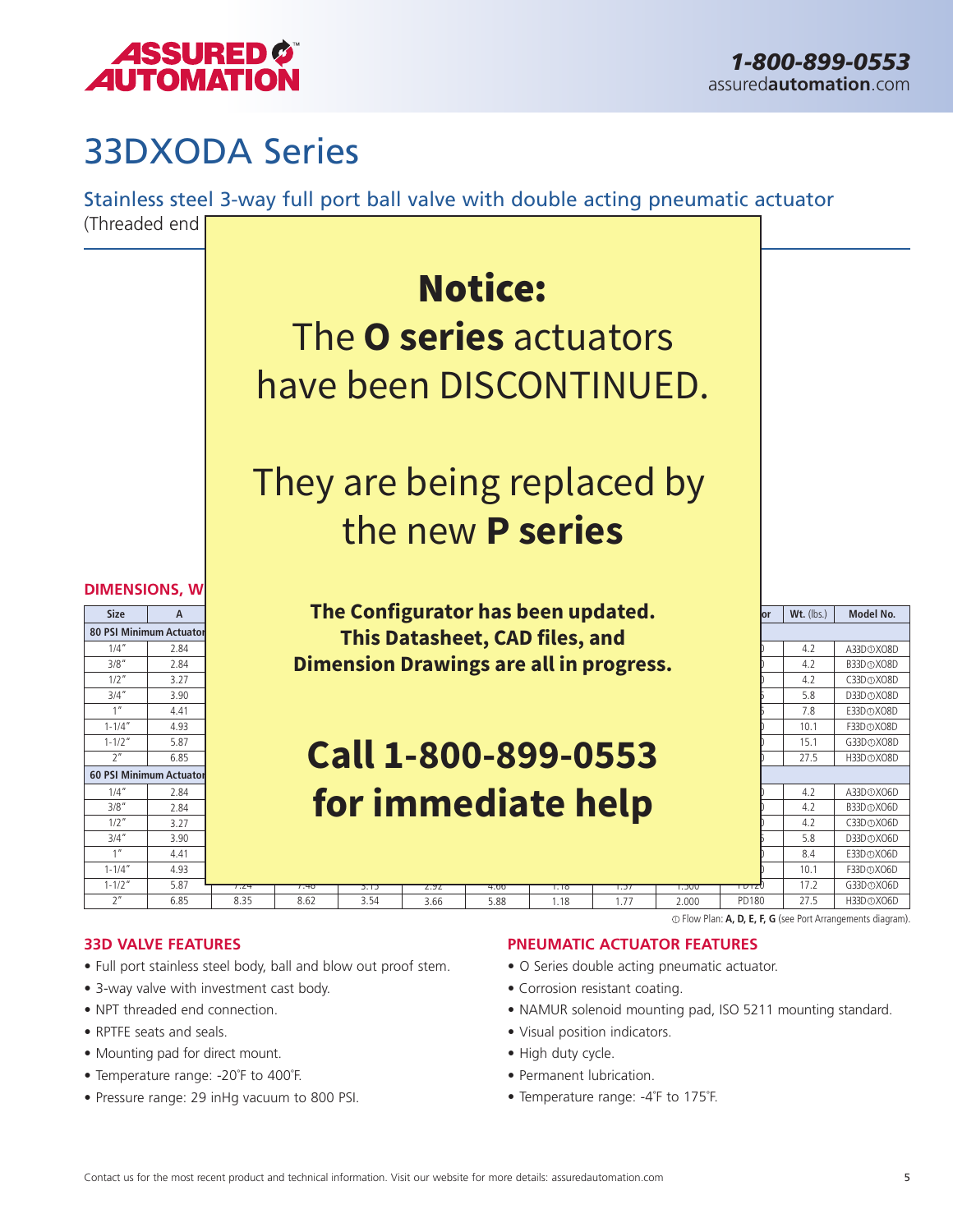

### 33DXODA Series

Stainless steel 3-way full port ball valve with double acting pneumatic actuator



- Full port stainless steel body, ball and blow out proof stem.
- 3-way valve with investment cast body.
- NPT threaded end connection.
- RPTFE seats and seals.
- Mounting pad for direct mount.
- Temperature range: -20˚F to 400˚F.
- Pressure range: 29 inHg vacuum to 800 PSI.
- O Series double acting pneumatic actuator.
- Corrosion resistant coating.
- NAMUR solenoid mounting pad, ISO 5211 mounting standard.
- Visual position indicators.
- High duty cycle.
- Permanent lubrication.
- Temperature range: -4˚F to 175˚F.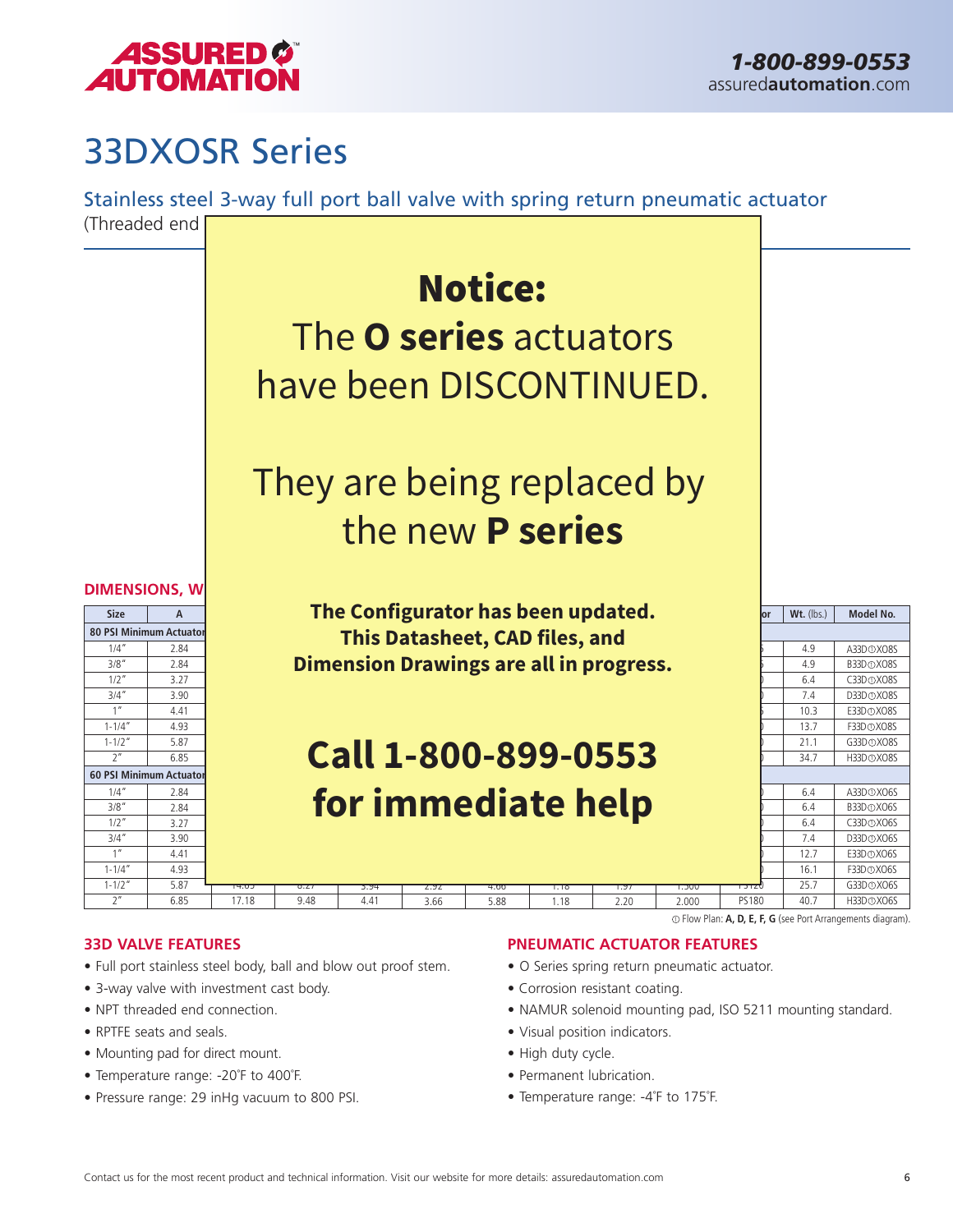

## 33DXOSR Series

Stainless steel 3-way full port ball valve with spring return pneumatic actuator



- Full port stainless steel body, ball and blow out proof stem.
- 3-way valve with investment cast body.
- NPT threaded end connection.
- RPTFE seats and seals.
- Mounting pad for direct mount.
- Temperature range: -20˚F to 400˚F.
- Pressure range: 29 inHg vacuum to 800 PSI.

- O Series spring return pneumatic actuator.
- Corrosion resistant coating.
- NAMUR solenoid mounting pad, ISO 5211 mounting standard.
- Visual position indicators.
- High duty cycle.
- Permanent lubrication.
- Temperature range: -4˚F to 175˚F.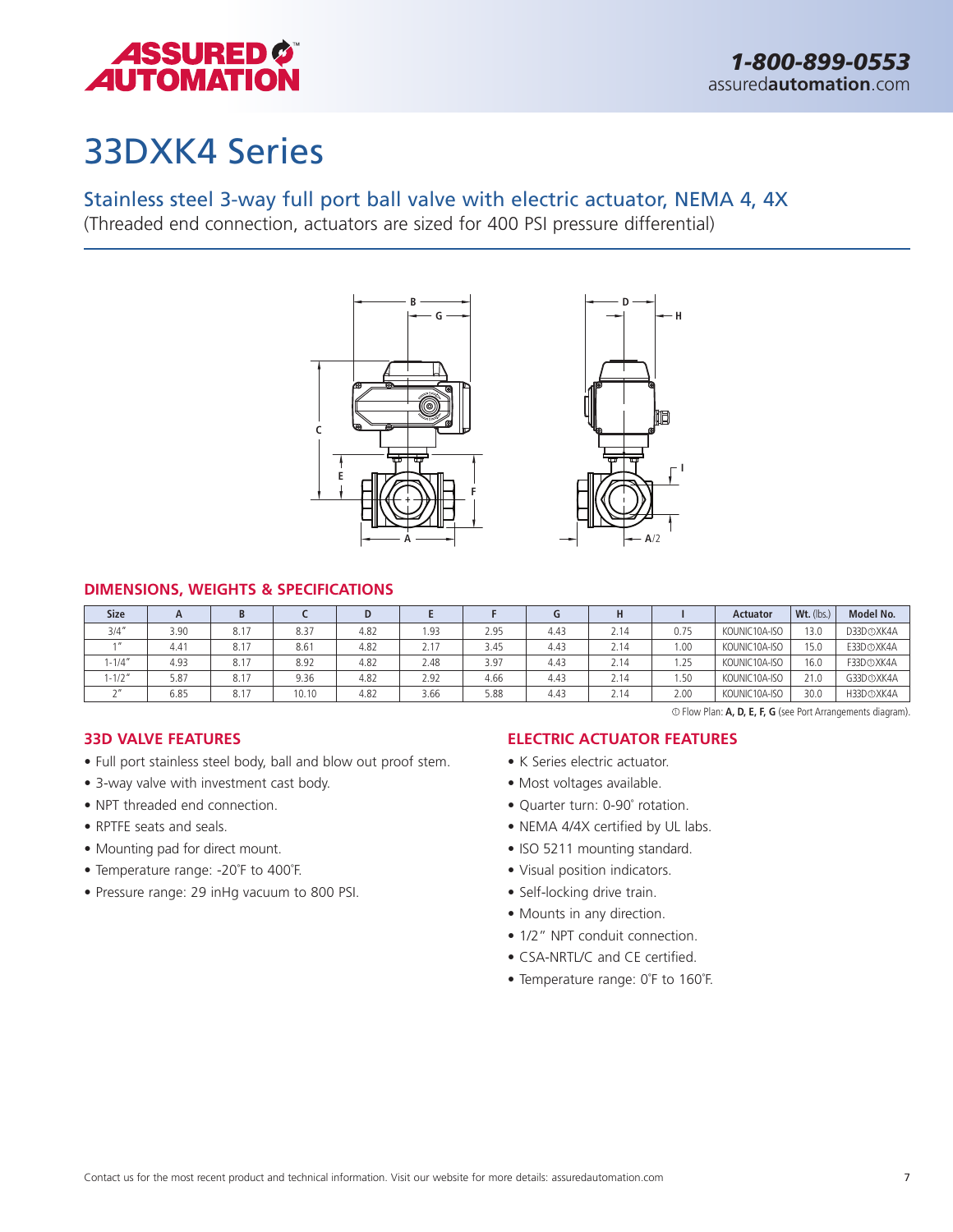

1 Flow Plan: **A, D, E, F, G** (see Port Arrangements diagram).

### 33DXK4 Series

### Stainless steel 3-way full port ball valve with electric actuator, NEMA 4, 4X

(Threaded end connection, actuators are sized for 400 PSI pressure differential)



### **DIMENSIONS, WEIGHTS & SPECIFICATIONS**

| <b>Size</b> | $\mathsf{A}$ | B    |       |      |      |      |      | Н    |      | <b>Actuator</b> | Wt. (lbs.) | Model No.              |
|-------------|--------------|------|-------|------|------|------|------|------|------|-----------------|------------|------------------------|
| 3/4''       | 3.90         | 8.17 | 8.37  | 4.82 | 1.93 | 2.95 | 4.43 | 2.14 | 0.75 | KOUNIC10A-ISO   | 13.0       | D33D <sub>O</sub> XK4A |
|             | 4.41         | 8.17 | 8.61  | 4.82 | 2.17 | 3.45 | 4.43 | 2.14 | 1.00 | KOUNIC10A-ISO   | 15.0       | E33D <sub>OXK4A</sub>  |
| $1 - 1/4''$ | 4.93         | 8.17 | 8.92  | 4.82 | 2.48 | 3.97 | 4.43 | 2.14 | 1.25 | KOUNIC10A-ISO   | 16.0       | F33D <sub>O</sub> XK4A |
| $1 - 1/2"$  | 5.87         | 8.17 | 9.36  | 4.82 | 2.92 | 4.66 | 4.43 | 2.14 | 1.50 | KOUNIC10A-ISO   | 21.0       | G33D <sub>O</sub> XK4A |
| $\sim$      | 6.85         | 8.17 | 10.10 | 4.82 | 3.66 | 5.88 | 4.43 | 2.14 | 2.00 | KOUNIC10A-ISO   | 30.0       | H33D <sub>OXK4A</sub>  |

### **33D VALVE FEATURES**

- Full port stainless steel body, ball and blow out proof stem.
- 3-way valve with investment cast body.
- NPT threaded end connection.
- RPTFE seats and seals.
- Mounting pad for direct mount.
- Temperature range: -20˚F to 400˚F.
- Pressure range: 29 inHg vacuum to 800 PSI.

### **ELECTRIC ACTUATOR FEATURES**

- K Series electric actuator.
- Most voltages available.
- Quarter turn: 0-90˚ rotation.
- NEMA 4/4X certified by UL labs.
- ISO 5211 mounting standard.
- Visual position indicators.
- Self-locking drive train.
- Mounts in any direction.
- 1/2" NPT conduit connection.
- CSA-NRTL/C and CE certified.
- Temperature range: 0˚F to 160˚F.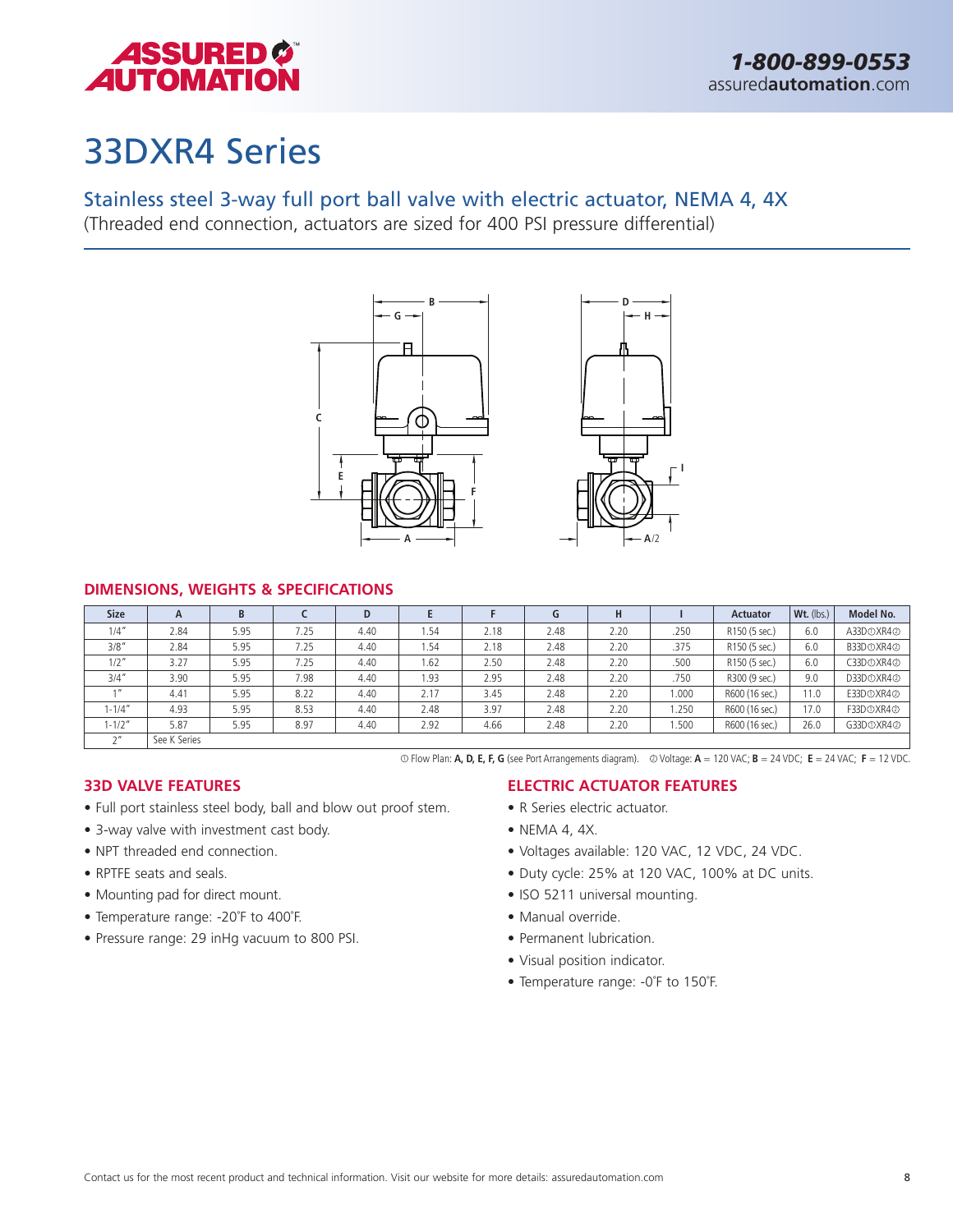

### 33DXR4 Series

### Stainless steel 3-way full port ball valve with electric actuator, NEMA 4, 4X

(Threaded end connection, actuators are sized for 400 PSI pressure differential)



### **DIMENSIONS, WEIGHTS & SPECIFICATIONS**

| <b>Size</b> | A            | B    |      | D    |       |      | G    | н    |       | <b>Actuator</b> | Wt. (lbs.) | Model No.                          |
|-------------|--------------|------|------|------|-------|------|------|------|-------|-----------------|------------|------------------------------------|
| 1/4''       | 2.84         | 5.95 | 7.25 | 4.40 | 54ء ا | 2.18 | 2.48 | 2.20 | .250  | R150 (5 sec.)   | 6.0        | A33D <sub>O</sub> XR4 <sup>2</sup> |
| 3/8''       | 2.84         | 5.95 | 7.25 | 4.40 | i.54  | 2.18 | 2.48 | 2.20 | .375  | R150 (5 sec.)   | 6.0        | B33D <sub>O</sub> XR4 <sup>@</sup> |
| $1/2$ "     | 3.27         | 5.95 | 7.25 | 4.40 | 1.62  | 2.50 | 2.48 | 2.20 | .500  | R150 (5 sec.)   | 6.0        | C33D <sub>O</sub> XR4 <sup>@</sup> |
| 3/4''       | 3.90         | 5.95 | 7.98 | 4.40 | 1.93  | 2.95 | 2.48 | 2.20 | .750  | R300 (9 sec.)   | 9.0        | D33D <sub>O</sub> XR4 <sup>@</sup> |
|             | 4.41         | 5.95 | 8.22 | 4.40 | 2.17  | 3.45 | 2.48 | 2.20 | 1.000 | R600 (16 sec.)  | 11.0       | E33D <sub>O</sub> XR4 <sup>@</sup> |
| 1-1/4″      | 4.93         | 5.95 | 8.53 | 4.40 | 2.48  | 3.97 | 2.48 | 2.20 | i.250 | R600 (16 sec.)  | 17.0       | F33D <sub>O</sub> XR4 <sup>@</sup> |
| $1 - 1/2"$  | 5.87         | 5.95 | 8.97 | 4.40 | 2.92  | 4.66 | 2.48 | 2.20 | 1.500 | R600 (16 sec.)  | 26.0       | G33D <sub>O</sub> XR4 <sup>@</sup> |
| $\sim$      | See K Series |      |      |      |       |      |      |      |       |                 |            |                                    |

<sup>1</sup> Flow Plan: **A, D, E, F, G** (see Port Arrangements diagram). <sup>2</sup> Voltage: **A** = 120 VAC; **B** = 24 VDC; **E** = 24 VAC; **F** = 12 VDC.

### **33D VALVE FEATURES**

- Full port stainless steel body, ball and blow out proof stem.
- 3-way valve with investment cast body.
- NPT threaded end connection
- RPTFE seats and seals.
- Mounting pad for direct mount.
- Temperature range: -20˚F to 400˚F.
- Pressure range: 29 inHg vacuum to 800 PSI.

### **ELECTRIC ACTUATOR FEATURES**

- R Series electric actuator.
- NEMA 4, 4X.
- Voltages available: 120 VAC, 12 VDC, 24 VDC.
- Duty cycle: 25% at 120 VAC, 100% at DC units.
- ISO 5211 universal mounting.
- Manual override.
- Permanent lubrication.
- Visual position indicator.
- Temperature range: -0˚F to 150˚F.